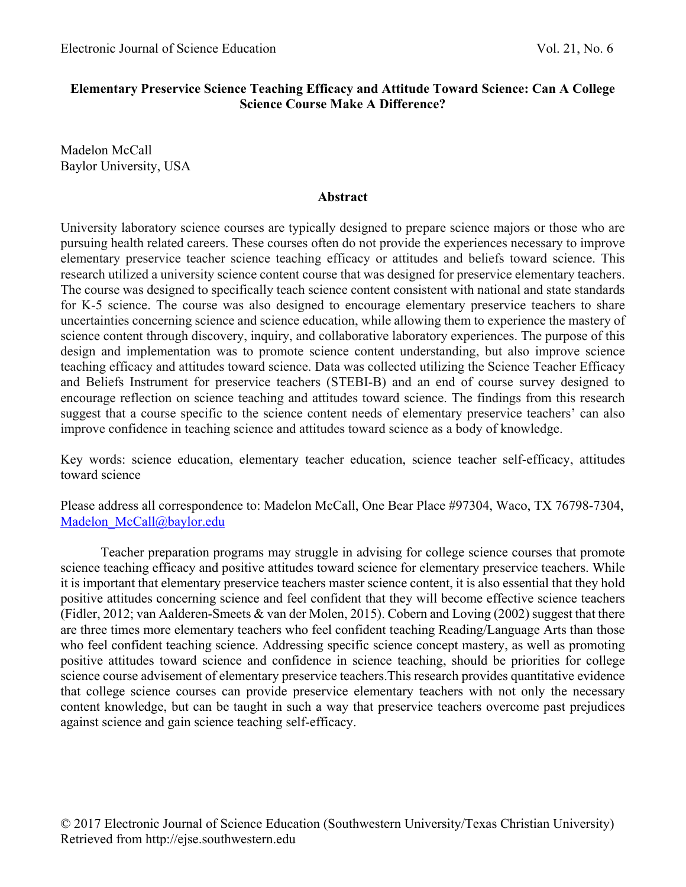# **Elementary Preservice Science Teaching Efficacy and Attitude Toward Science: Can A College Science Course Make A Difference?**

Madelon McCall Baylor University, USA

## **Abstract**

University laboratory science courses are typically designed to prepare science majors or those who are pursuing health related careers. These courses often do not provide the experiences necessary to improve elementary preservice teacher science teaching efficacy or attitudes and beliefs toward science. This research utilized a university science content course that was designed for preservice elementary teachers. The course was designed to specifically teach science content consistent with national and state standards for K-5 science. The course was also designed to encourage elementary preservice teachers to share uncertainties concerning science and science education, while allowing them to experience the mastery of science content through discovery, inquiry, and collaborative laboratory experiences. The purpose of this design and implementation was to promote science content understanding, but also improve science teaching efficacy and attitudes toward science. Data was collected utilizing the Science Teacher Efficacy and Beliefs Instrument for preservice teachers (STEBI-B) and an end of course survey designed to encourage reflection on science teaching and attitudes toward science. The findings from this research suggest that a course specific to the science content needs of elementary preservice teachers' can also improve confidence in teaching science and attitudes toward science as a body of knowledge.

Key words: science education, elementary teacher education, science teacher self-efficacy, attitudes toward science

Please address all correspondence to: Madelon McCall, One Bear Place #97304, Waco, TX 76798-7304, Madelon McCall@baylor.edu

Teacher preparation programs may struggle in advising for college science courses that promote science teaching efficacy and positive attitudes toward science for elementary preservice teachers. While it is important that elementary preservice teachers master science content, it is also essential that they hold positive attitudes concerning science and feel confident that they will become effective science teachers (Fidler, 2012; van Aalderen-Smeets & van der Molen, 2015). Cobern and Loving (2002) suggest that there are three times more elementary teachers who feel confident teaching Reading/Language Arts than those who feel confident teaching science. Addressing specific science concept mastery, as well as promoting positive attitudes toward science and confidence in science teaching, should be priorities for college science course advisement of elementary preservice teachers.This research provides quantitative evidence that college science courses can provide preservice elementary teachers with not only the necessary content knowledge, but can be taught in such a way that preservice teachers overcome past prejudices against science and gain science teaching self-efficacy.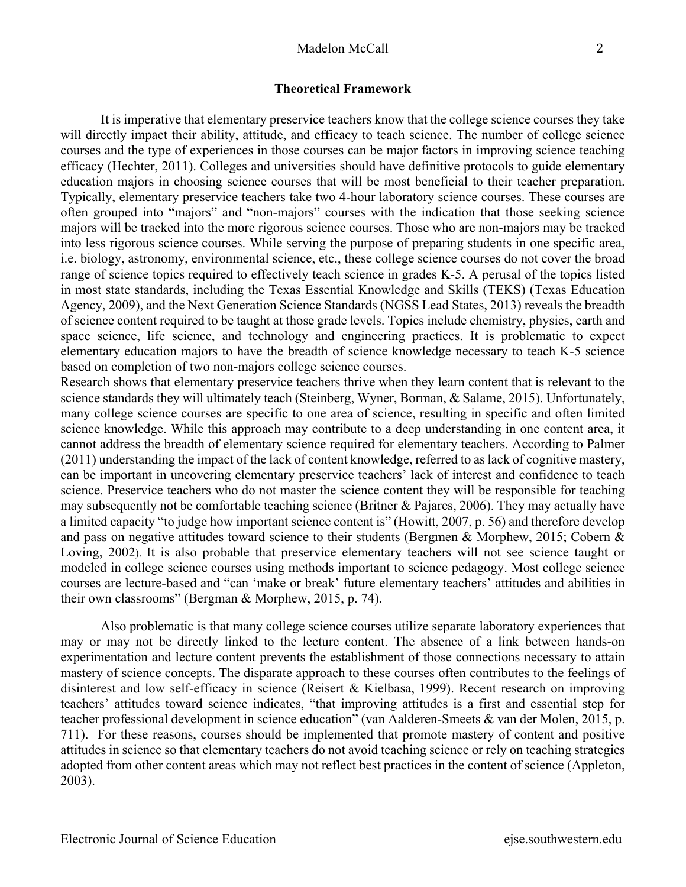### **Theoretical Framework**

It is imperative that elementary preservice teachers know that the college science courses they take will directly impact their ability, attitude, and efficacy to teach science. The number of college science courses and the type of experiences in those courses can be major factors in improving science teaching efficacy (Hechter, 2011). Colleges and universities should have definitive protocols to guide elementary education majors in choosing science courses that will be most beneficial to their teacher preparation. Typically, elementary preservice teachers take two 4-hour laboratory science courses. These courses are often grouped into "majors" and "non-majors" courses with the indication that those seeking science majors will be tracked into the more rigorous science courses. Those who are non-majors may be tracked into less rigorous science courses. While serving the purpose of preparing students in one specific area, i.e. biology, astronomy, environmental science, etc., these college science courses do not cover the broad range of science topics required to effectively teach science in grades K-5. A perusal of the topics listed in most state standards, including the Texas Essential Knowledge and Skills (TEKS) (Texas Education Agency, 2009), and the Next Generation Science Standards (NGSS Lead States, 2013) reveals the breadth of science content required to be taught at those grade levels. Topics include chemistry, physics, earth and space science, life science, and technology and engineering practices. It is problematic to expect elementary education majors to have the breadth of science knowledge necessary to teach K-5 science based on completion of two non-majors college science courses.

Research shows that elementary preservice teachers thrive when they learn content that is relevant to the science standards they will ultimately teach (Steinberg, Wyner, Borman, & Salame, 2015). Unfortunately, many college science courses are specific to one area of science, resulting in specific and often limited science knowledge. While this approach may contribute to a deep understanding in one content area, it cannot address the breadth of elementary science required for elementary teachers. According to Palmer (2011) understanding the impact of the lack of content knowledge, referred to as lack of cognitive mastery, can be important in uncovering elementary preservice teachers' lack of interest and confidence to teach science. Preservice teachers who do not master the science content they will be responsible for teaching may subsequently not be comfortable teaching science (Britner & Pajares, 2006). They may actually have a limited capacity "to judge how important science content is" (Howitt, 2007, p. 56) and therefore develop and pass on negative attitudes toward science to their students (Bergmen & Morphew, 2015; Cobern & Loving, 2002). It is also probable that preservice elementary teachers will not see science taught or modeled in college science courses using methods important to science pedagogy. Most college science courses are lecture-based and "can 'make or break' future elementary teachers' attitudes and abilities in their own classrooms" (Bergman & Morphew, 2015, p. 74).

Also problematic is that many college science courses utilize separate laboratory experiences that may or may not be directly linked to the lecture content. The absence of a link between hands-on experimentation and lecture content prevents the establishment of those connections necessary to attain mastery of science concepts. The disparate approach to these courses often contributes to the feelings of disinterest and low self-efficacy in science (Reisert & Kielbasa, 1999). Recent research on improving teachers' attitudes toward science indicates, "that improving attitudes is a first and essential step for teacher professional development in science education" (van Aalderen-Smeets & van der Molen, 2015, p. 711). For these reasons, courses should be implemented that promote mastery of content and positive attitudes in science so that elementary teachers do not avoid teaching science or rely on teaching strategies adopted from other content areas which may not reflect best practices in the content of science (Appleton, 2003).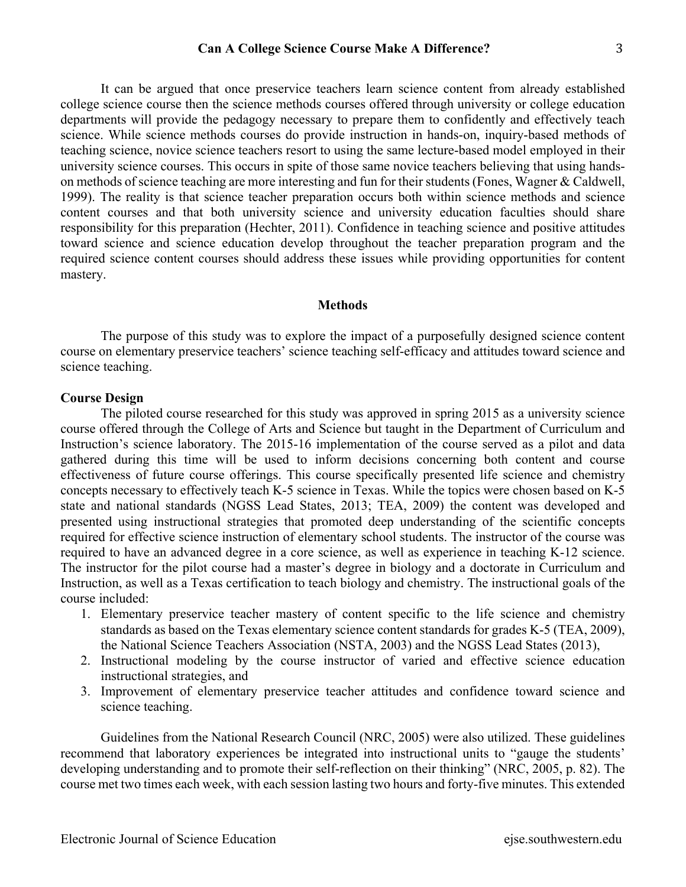It can be argued that once preservice teachers learn science content from already established college science course then the science methods courses offered through university or college education departments will provide the pedagogy necessary to prepare them to confidently and effectively teach science. While science methods courses do provide instruction in hands-on, inquiry-based methods of teaching science, novice science teachers resort to using the same lecture-based model employed in their university science courses. This occurs in spite of those same novice teachers believing that using handson methods of science teaching are more interesting and fun for their students (Fones, Wagner & Caldwell, 1999). The reality is that science teacher preparation occurs both within science methods and science content courses and that both university science and university education faculties should share responsibility for this preparation (Hechter, 2011). Confidence in teaching science and positive attitudes toward science and science education develop throughout the teacher preparation program and the required science content courses should address these issues while providing opportunities for content mastery.

### **Methods**

The purpose of this study was to explore the impact of a purposefully designed science content course on elementary preservice teachers' science teaching self-efficacy and attitudes toward science and science teaching.

### **Course Design**

The piloted course researched for this study was approved in spring 2015 as a university science course offered through the College of Arts and Science but taught in the Department of Curriculum and Instruction's science laboratory. The 2015-16 implementation of the course served as a pilot and data gathered during this time will be used to inform decisions concerning both content and course effectiveness of future course offerings. This course specifically presented life science and chemistry concepts necessary to effectively teach K-5 science in Texas. While the topics were chosen based on K-5 state and national standards (NGSS Lead States, 2013; TEA, 2009) the content was developed and presented using instructional strategies that promoted deep understanding of the scientific concepts required for effective science instruction of elementary school students. The instructor of the course was required to have an advanced degree in a core science, as well as experience in teaching K-12 science. The instructor for the pilot course had a master's degree in biology and a doctorate in Curriculum and Instruction, as well as a Texas certification to teach biology and chemistry. The instructional goals of the course included:

- 1. Elementary preservice teacher mastery of content specific to the life science and chemistry standards as based on the Texas elementary science content standards for grades K-5 (TEA, 2009), the National Science Teachers Association (NSTA, 2003) and the NGSS Lead States (2013),
- 2. Instructional modeling by the course instructor of varied and effective science education instructional strategies, and
- 3. Improvement of elementary preservice teacher attitudes and confidence toward science and science teaching.

Guidelines from the National Research Council (NRC, 2005) were also utilized. These guidelines recommend that laboratory experiences be integrated into instructional units to "gauge the students' developing understanding and to promote their self-reflection on their thinking" (NRC, 2005, p. 82). The course met two times each week, with each session lasting two hours and forty-five minutes. This extended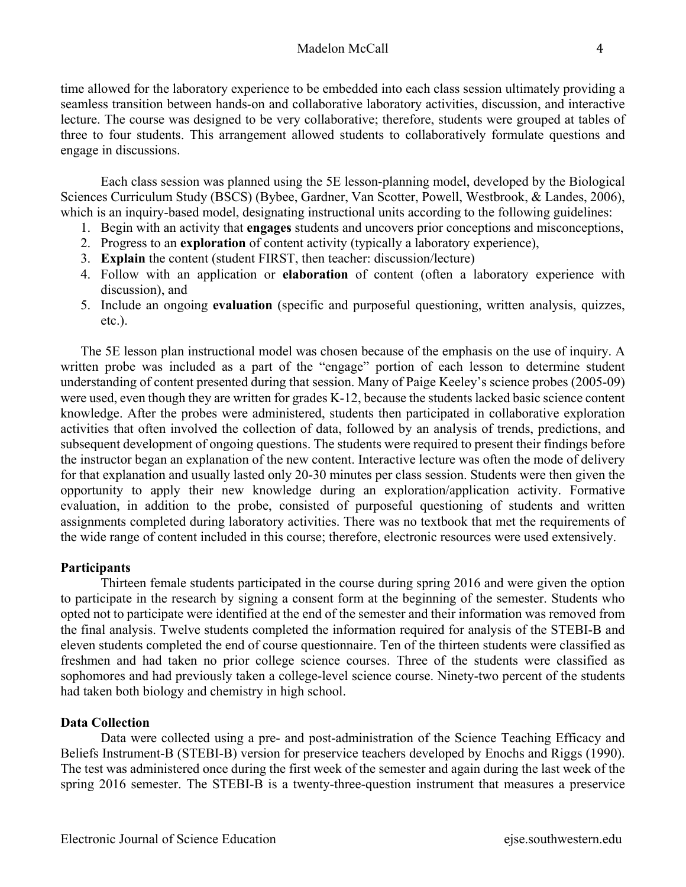time allowed for the laboratory experience to be embedded into each class session ultimately providing a seamless transition between hands-on and collaborative laboratory activities, discussion, and interactive lecture. The course was designed to be very collaborative; therefore, students were grouped at tables of three to four students. This arrangement allowed students to collaboratively formulate questions and engage in discussions.

Each class session was planned using the 5E lesson-planning model, developed by the Biological Sciences Curriculum Study (BSCS) (Bybee, Gardner, Van Scotter, Powell, Westbrook, & Landes, 2006), which is an inquiry-based model, designating instructional units according to the following guidelines:

- 1. Begin with an activity that **engages** students and uncovers prior conceptions and misconceptions,
- 2. Progress to an **exploration** of content activity (typically a laboratory experience),
- 3. **Explain** the content (student FIRST, then teacher: discussion/lecture)
- 4. Follow with an application or **elaboration** of content (often a laboratory experience with discussion), and
- 5. Include an ongoing **evaluation** (specific and purposeful questioning, written analysis, quizzes, etc.).

The 5E lesson plan instructional model was chosen because of the emphasis on the use of inquiry. A written probe was included as a part of the "engage" portion of each lesson to determine student understanding of content presented during that session. Many of Paige Keeley's science probes (2005-09) were used, even though they are written for grades K-12, because the students lacked basic science content knowledge. After the probes were administered, students then participated in collaborative exploration activities that often involved the collection of data, followed by an analysis of trends, predictions, and subsequent development of ongoing questions. The students were required to present their findings before the instructor began an explanation of the new content. Interactive lecture was often the mode of delivery for that explanation and usually lasted only 20-30 minutes per class session. Students were then given the opportunity to apply their new knowledge during an exploration/application activity. Formative evaluation, in addition to the probe, consisted of purposeful questioning of students and written assignments completed during laboratory activities. There was no textbook that met the requirements of the wide range of content included in this course; therefore, electronic resources were used extensively.

# **Participants**

Thirteen female students participated in the course during spring 2016 and were given the option to participate in the research by signing a consent form at the beginning of the semester. Students who opted not to participate were identified at the end of the semester and their information was removed from the final analysis. Twelve students completed the information required for analysis of the STEBI-B and eleven students completed the end of course questionnaire. Ten of the thirteen students were classified as freshmen and had taken no prior college science courses. Three of the students were classified as sophomores and had previously taken a college-level science course. Ninety-two percent of the students had taken both biology and chemistry in high school.

# **Data Collection**

Data were collected using a pre- and post-administration of the Science Teaching Efficacy and Beliefs Instrument-B (STEBI-B) version for preservice teachers developed by Enochs and Riggs (1990). The test was administered once during the first week of the semester and again during the last week of the spring 2016 semester. The STEBI-B is a twenty-three-question instrument that measures a preservice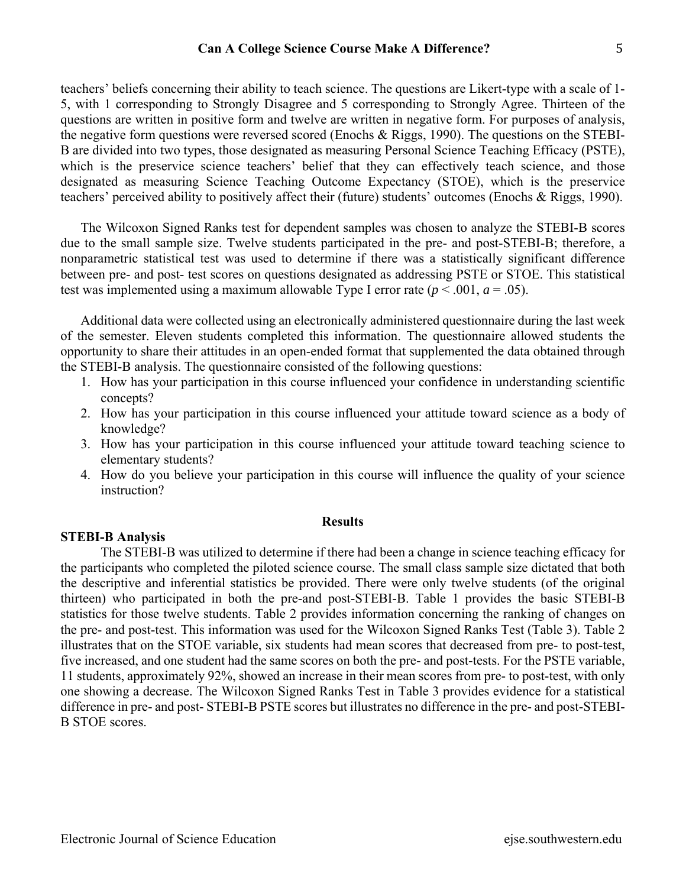teachers' beliefs concerning their ability to teach science. The questions are Likert-type with a scale of 1- 5, with 1 corresponding to Strongly Disagree and 5 corresponding to Strongly Agree. Thirteen of the questions are written in positive form and twelve are written in negative form. For purposes of analysis, the negative form questions were reversed scored (Enochs & Riggs, 1990). The questions on the STEBI-B are divided into two types, those designated as measuring Personal Science Teaching Efficacy (PSTE), which is the preservice science teachers' belief that they can effectively teach science, and those designated as measuring Science Teaching Outcome Expectancy (STOE), which is the preservice teachers' perceived ability to positively affect their (future) students' outcomes (Enochs & Riggs, 1990).

The Wilcoxon Signed Ranks test for dependent samples was chosen to analyze the STEBI-B scores due to the small sample size. Twelve students participated in the pre- and post-STEBI-B; therefore, a nonparametric statistical test was used to determine if there was a statistically significant difference between pre- and post- test scores on questions designated as addressing PSTE or STOE. This statistical test was implemented using a maximum allowable Type I error rate  $(p < .001, a = .05)$ .

Additional data were collected using an electronically administered questionnaire during the last week of the semester. Eleven students completed this information. The questionnaire allowed students the opportunity to share their attitudes in an open-ended format that supplemented the data obtained through the STEBI-B analysis. The questionnaire consisted of the following questions:

- 1. How has your participation in this course influenced your confidence in understanding scientific concepts?
- 2. How has your participation in this course influenced your attitude toward science as a body of knowledge?
- 3. How has your participation in this course influenced your attitude toward teaching science to elementary students?
- 4. How do you believe your participation in this course will influence the quality of your science instruction?

### **Results**

### **STEBI-B Analysis**

 The STEBI-B was utilized to determine if there had been a change in science teaching efficacy for the participants who completed the piloted science course. The small class sample size dictated that both the descriptive and inferential statistics be provided. There were only twelve students (of the original thirteen) who participated in both the pre-and post-STEBI-B. Table 1 provides the basic STEBI-B statistics for those twelve students. Table 2 provides information concerning the ranking of changes on the pre- and post-test. This information was used for the Wilcoxon Signed Ranks Test (Table 3). Table 2 illustrates that on the STOE variable, six students had mean scores that decreased from pre- to post-test, five increased, and one student had the same scores on both the pre- and post-tests. For the PSTE variable, 11 students, approximately 92%, showed an increase in their mean scores from pre- to post-test, with only one showing a decrease. The Wilcoxon Signed Ranks Test in Table 3 provides evidence for a statistical difference in pre- and post- STEBI-B PSTE scores but illustrates no difference in the pre- and post-STEBI-B STOE scores.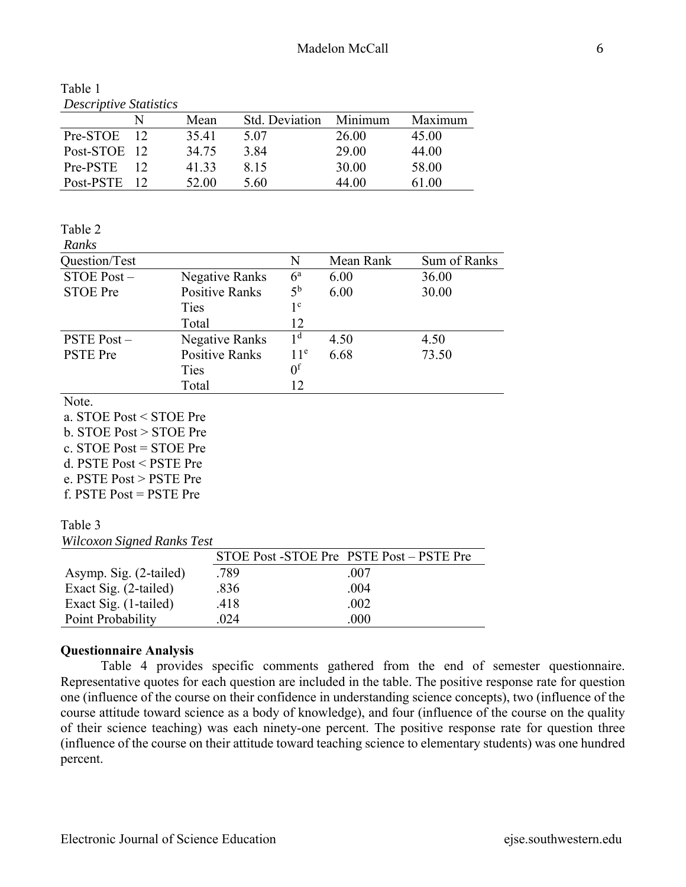| Table I                       |  |  |
|-------------------------------|--|--|
| <b>Descriptive Statistics</b> |  |  |

|              |    | Mean  | Std. Deviation | Minimum | Maximum |
|--------------|----|-------|----------------|---------|---------|
| Pre-STOE     | 12 | 35.41 | 5.07           | 26.00   | 45.00   |
| Post-STOE 12 |    | 34.75 | 3.84           | 29.00   | 44.00   |
| Pre-PSTE     |    | 41.33 | 8.15           | 30.00   | 58.00   |
| Post-PSTE    |    | 52.00 | 5.60           | 44.00   | 61.00   |

# Table 2

 $T<sub>1</sub>$  1 1 1 1

| ranks |  |
|-------|--|
|       |  |

| Question/Test     |                       | N               | Mean Rank | Sum of Ranks |
|-------------------|-----------------------|-----------------|-----------|--------------|
| STOE Post-        | Negative Ranks        | $6^{\rm a}$     | 6.00      | 36.00        |
| <b>STOE Pre</b>   | <b>Positive Ranks</b> | $5^{\rm b}$     | 6.00      | 30.00        |
|                   | <b>Ties</b>           | $1^{\circ}$     |           |              |
|                   | Total                 | 12              |           |              |
| <b>PSTE Post-</b> | <b>Negative Ranks</b> | 1 <sup>d</sup>  | 4.50      | 4.50         |
| <b>PSTE</b> Pre   | <b>Positive Ranks</b> | 11 <sup>e</sup> | 6.68      | 73.50        |
|                   | Ties                  | 0 <sup>f</sup>  |           |              |
|                   | Total                 | 12              |           |              |

Note.

a. STOE Post < STOE Pre b. STOE Post > STOE Pre c. STOE Post = STOE Pre d. PSTE Post < PSTE Pre e. PSTE Post > PSTE Pre

f. PSTE Post = PSTE Pre

Table 3

*Wilcoxon Signed Ranks Test*

|                        |      | STOE Post -STOE Pre PSTE Post – PSTE Pre |
|------------------------|------|------------------------------------------|
| Asymp. Sig. (2-tailed) | .789 | .007                                     |
| Exact Sig. (2-tailed)  | .836 | .004                                     |
| Exact Sig. (1-tailed)  | .418 | .002                                     |
| Point Probability      | .024 | .000                                     |

# **Questionnaire Analysis**

Table 4 provides specific comments gathered from the end of semester questionnaire. Representative quotes for each question are included in the table. The positive response rate for question one (influence of the course on their confidence in understanding science concepts), two (influence of the course attitude toward science as a body of knowledge), and four (influence of the course on the quality of their science teaching) was each ninety-one percent. The positive response rate for question three (influence of the course on their attitude toward teaching science to elementary students) was one hundred percent.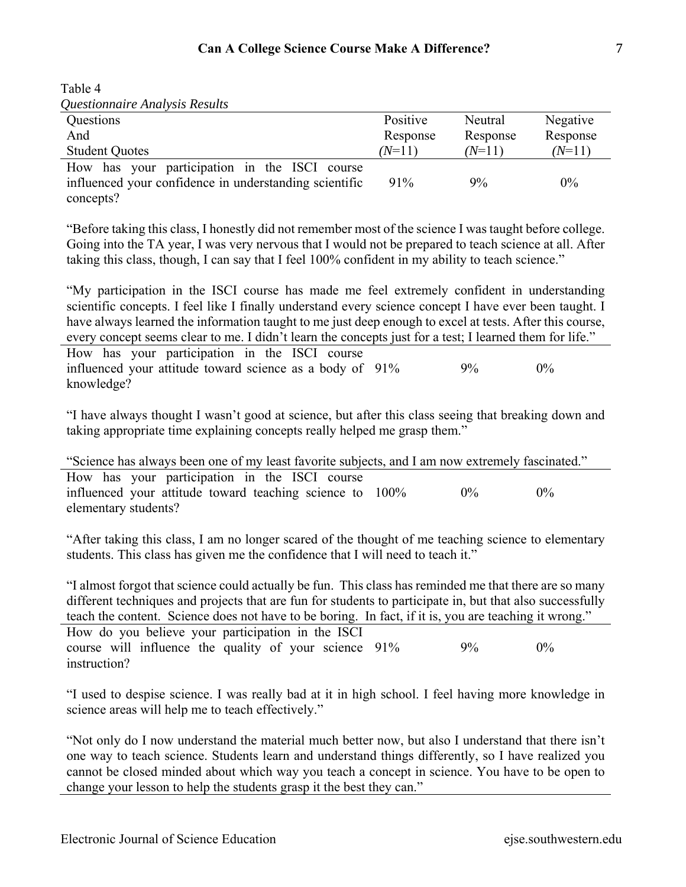| Questionnaire Analysis Results                                                                          |          |          |          |
|---------------------------------------------------------------------------------------------------------|----------|----------|----------|
| Questions                                                                                               | Positive | Neutral  | Negative |
| And                                                                                                     | Response | Response | Response |
| <b>Student Quotes</b>                                                                                   | $(N=11)$ | $(N=11)$ | $(N=11)$ |
| How has your participation in the ISCI course<br>influenced your confidence in understanding scientific | 91%      | $9\%$    | $0\%$    |
| concepts?                                                                                               |          |          |          |

"Before taking this class, I honestly did not remember most of the science I was taught before college. Going into the TA year, I was very nervous that I would not be prepared to teach science at all. After taking this class, though, I can say that I feel 100% confident in my ability to teach science."

"My participation in the ISCI course has made me feel extremely confident in understanding scientific concepts. I feel like I finally understand every science concept I have ever been taught. I have always learned the information taught to me just deep enough to excel at tests. After this course, every concept seems clear to me. I didn't learn the concepts just for a test; I learned them for life."

How has your participation in the ISCI course influenced your attitude toward science as a body of 91% 9% 9% 0% knowledge?

"I have always thought I wasn't good at science, but after this class seeing that breaking down and taking appropriate time explaining concepts really helped me grasp them."

| "Science has always been one of my least favorite subjects, and I am now extremely fascinated." |  |       |       |  |
|-------------------------------------------------------------------------------------------------|--|-------|-------|--|
| How has your participation in the ISCI course                                                   |  |       |       |  |
| influenced your attitude toward teaching science to 100%                                        |  | $0\%$ | $0\%$ |  |
| elementary students?                                                                            |  |       |       |  |

"After taking this class, I am no longer scared of the thought of me teaching science to elementary students. This class has given me the confidence that I will need to teach it."

| "I almost forgot that science could actually be fun. This class has reminded me that there are so many    |       |       |
|-----------------------------------------------------------------------------------------------------------|-------|-------|
| different techniques and projects that are fun for students to participate in, but that also successfully |       |       |
| teach the content. Science does not have to be boring. In fact, if it is, you are teaching it wrong."     |       |       |
| How do you believe your participation in the ISCI                                                         |       |       |
| course will influence the quality of your science 91%                                                     | $9\%$ | $0\%$ |
| instruction?                                                                                              |       |       |

"I used to despise science. I was really bad at it in high school. I feel having more knowledge in science areas will help me to teach effectively."

"Not only do I now understand the material much better now, but also I understand that there isn't one way to teach science. Students learn and understand things differently, so I have realized you cannot be closed minded about which way you teach a concept in science. You have to be open to change your lesson to help the students grasp it the best they can."

Table 4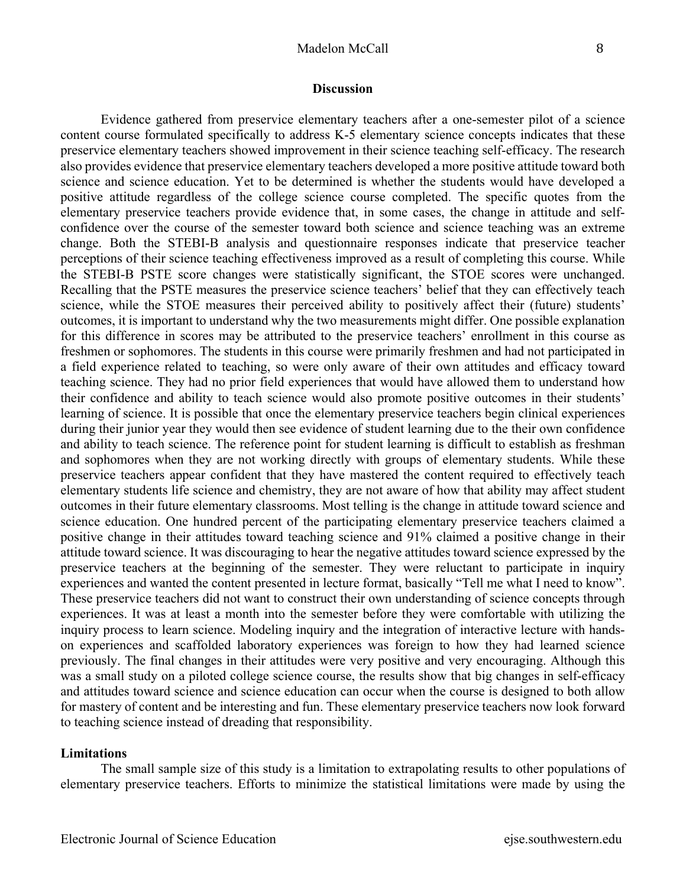### Madelon McCall 8

#### **Discussion**

Evidence gathered from preservice elementary teachers after a one-semester pilot of a science content course formulated specifically to address K-5 elementary science concepts indicates that these preservice elementary teachers showed improvement in their science teaching self-efficacy. The research also provides evidence that preservice elementary teachers developed a more positive attitude toward both science and science education. Yet to be determined is whether the students would have developed a positive attitude regardless of the college science course completed. The specific quotes from the elementary preservice teachers provide evidence that, in some cases, the change in attitude and selfconfidence over the course of the semester toward both science and science teaching was an extreme change. Both the STEBI-B analysis and questionnaire responses indicate that preservice teacher perceptions of their science teaching effectiveness improved as a result of completing this course. While the STEBI-B PSTE score changes were statistically significant, the STOE scores were unchanged. Recalling that the PSTE measures the preservice science teachers' belief that they can effectively teach science, while the STOE measures their perceived ability to positively affect their (future) students' outcomes, it is important to understand why the two measurements might differ. One possible explanation for this difference in scores may be attributed to the preservice teachers' enrollment in this course as freshmen or sophomores. The students in this course were primarily freshmen and had not participated in a field experience related to teaching, so were only aware of their own attitudes and efficacy toward teaching science. They had no prior field experiences that would have allowed them to understand how their confidence and ability to teach science would also promote positive outcomes in their students' learning of science. It is possible that once the elementary preservice teachers begin clinical experiences during their junior year they would then see evidence of student learning due to the their own confidence and ability to teach science. The reference point for student learning is difficult to establish as freshman and sophomores when they are not working directly with groups of elementary students. While these preservice teachers appear confident that they have mastered the content required to effectively teach elementary students life science and chemistry, they are not aware of how that ability may affect student outcomes in their future elementary classrooms. Most telling is the change in attitude toward science and science education. One hundred percent of the participating elementary preservice teachers claimed a positive change in their attitudes toward teaching science and 91% claimed a positive change in their attitude toward science. It was discouraging to hear the negative attitudes toward science expressed by the preservice teachers at the beginning of the semester. They were reluctant to participate in inquiry experiences and wanted the content presented in lecture format, basically "Tell me what I need to know". These preservice teachers did not want to construct their own understanding of science concepts through experiences. It was at least a month into the semester before they were comfortable with utilizing the inquiry process to learn science. Modeling inquiry and the integration of interactive lecture with handson experiences and scaffolded laboratory experiences was foreign to how they had learned science previously. The final changes in their attitudes were very positive and very encouraging. Although this was a small study on a piloted college science course, the results show that big changes in self-efficacy and attitudes toward science and science education can occur when the course is designed to both allow for mastery of content and be interesting and fun. These elementary preservice teachers now look forward to teaching science instead of dreading that responsibility.

### **Limitations**

The small sample size of this study is a limitation to extrapolating results to other populations of elementary preservice teachers. Efforts to minimize the statistical limitations were made by using the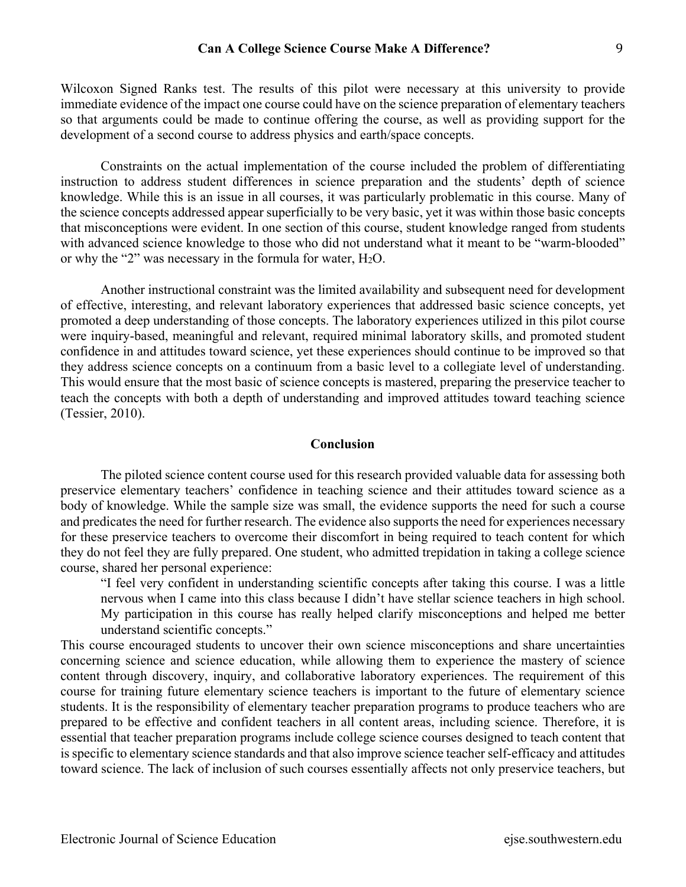Wilcoxon Signed Ranks test. The results of this pilot were necessary at this university to provide immediate evidence of the impact one course could have on the science preparation of elementary teachers so that arguments could be made to continue offering the course, as well as providing support for the development of a second course to address physics and earth/space concepts.

Constraints on the actual implementation of the course included the problem of differentiating instruction to address student differences in science preparation and the students' depth of science knowledge. While this is an issue in all courses, it was particularly problematic in this course. Many of the science concepts addressed appear superficially to be very basic, yet it was within those basic concepts that misconceptions were evident. In one section of this course, student knowledge ranged from students with advanced science knowledge to those who did not understand what it meant to be "warm-blooded" or why the "2" was necessary in the formula for water,  $H_2O$ .

Another instructional constraint was the limited availability and subsequent need for development of effective, interesting, and relevant laboratory experiences that addressed basic science concepts, yet promoted a deep understanding of those concepts. The laboratory experiences utilized in this pilot course were inquiry-based, meaningful and relevant, required minimal laboratory skills, and promoted student confidence in and attitudes toward science, yet these experiences should continue to be improved so that they address science concepts on a continuum from a basic level to a collegiate level of understanding. This would ensure that the most basic of science concepts is mastered, preparing the preservice teacher to teach the concepts with both a depth of understanding and improved attitudes toward teaching science (Tessier, 2010).

## **Conclusion**

 The piloted science content course used for this research provided valuable data for assessing both preservice elementary teachers' confidence in teaching science and their attitudes toward science as a body of knowledge. While the sample size was small, the evidence supports the need for such a course and predicates the need for further research. The evidence also supports the need for experiences necessary for these preservice teachers to overcome their discomfort in being required to teach content for which they do not feel they are fully prepared. One student, who admitted trepidation in taking a college science course, shared her personal experience:

"I feel very confident in understanding scientific concepts after taking this course. I was a little nervous when I came into this class because I didn't have stellar science teachers in high school. My participation in this course has really helped clarify misconceptions and helped me better understand scientific concepts."

This course encouraged students to uncover their own science misconceptions and share uncertainties concerning science and science education, while allowing them to experience the mastery of science content through discovery, inquiry, and collaborative laboratory experiences. The requirement of this course for training future elementary science teachers is important to the future of elementary science students. It is the responsibility of elementary teacher preparation programs to produce teachers who are prepared to be effective and confident teachers in all content areas, including science. Therefore, it is essential that teacher preparation programs include college science courses designed to teach content that is specific to elementary science standards and that also improve science teacher self-efficacy and attitudes toward science. The lack of inclusion of such courses essentially affects not only preservice teachers, but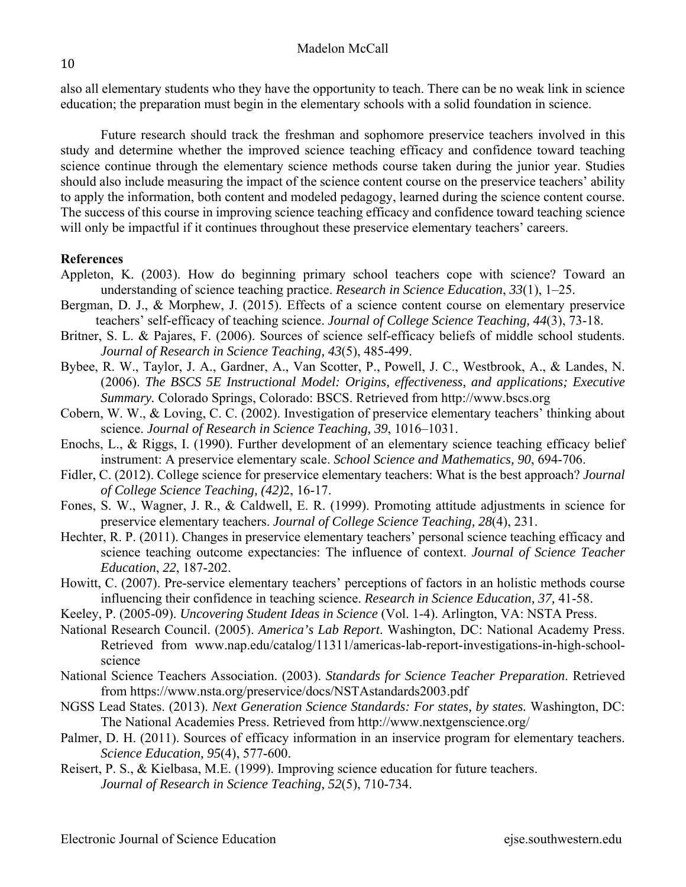10 

also all elementary students who they have the opportunity to teach. There can be no weak link in science education; the preparation must begin in the elementary schools with a solid foundation in science.

Future research should track the freshman and sophomore preservice teachers involved in this study and determine whether the improved science teaching efficacy and confidence toward teaching science continue through the elementary science methods course taken during the junior year. Studies should also include measuring the impact of the science content course on the preservice teachers' ability to apply the information, both content and modeled pedagogy, learned during the science content course. The success of this course in improving science teaching efficacy and confidence toward teaching science will only be impactful if it continues throughout these preservice elementary teachers' careers.

# **References**

- Appleton, K. (2003). How do beginning primary school teachers cope with science? Toward an understanding of science teaching practice. *Research in Science Education*, *33*(1), 1–25.
- Bergman, D. J., & Morphew, J. (2015). Effects of a science content course on elementary preservice teachers' self-efficacy of teaching science. *Journal of College Science Teaching, 44*(3), 73-18.
- Britner, S. L. & Pajares, F. (2006). Sources of science self-efficacy beliefs of middle school students. *Journal of Research in Science Teaching, 43*(5), 485-499.
- Bybee, R. W., Taylor, J. A., Gardner, A., Van Scotter, P., Powell, J. C., Westbrook, A., & Landes, N. (2006). *The BSCS 5E Instructional Model: Origins, effectiveness, and applications; Executive Summary.* Colorado Springs, Colorado: BSCS. Retrieved from http://www.bscs.org
- Cobern, W. W., & Loving, C. C. (2002). Investigation of preservice elementary teachers' thinking about science. *Journal of Research in Science Teaching, 39*, 1016–1031.
- Enochs, L., & Riggs, I. (1990). Further development of an elementary science teaching efficacy belief instrument: A preservice elementary scale. *School Science and Mathematics, 90*, 694-706.
- Fidler, C. (2012). College science for preservice elementary teachers: What is the best approach? *Journal of College Science Teaching, (42)*2, 16-17.
- Fones, S. W., Wagner, J. R., & Caldwell, E. R. (1999). Promoting attitude adjustments in science for preservice elementary teachers. *Journal of College Science Teaching, 28*(4), 231.
- Hechter, R. P. (2011). Changes in preservice elementary teachers' personal science teaching efficacy and science teaching outcome expectancies: The influence of context. *Journal of Science Teacher Education*, *22*, 187-202.
- Howitt, C. (2007). Pre-service elementary teachers' perceptions of factors in an holistic methods course influencing their confidence in teaching science. *Research in Science Education, 37,* 41-58.
- Keeley, P. (2005-09). *Uncovering Student Ideas in Science* (Vol. 1-4). Arlington, VA: NSTA Press.
- National Research Council. (2005). *America's Lab Report*. Washington, DC: National Academy Press. Retrieved from www.nap.edu/catalog/11311/americas-lab-report-investigations-in-high-schoolscience
- National Science Teachers Association. (2003). *Standards for Science Teacher Preparation*. Retrieved from https://www.nsta.org/preservice/docs/NSTAstandards2003.pdf
- NGSS Lead States. (2013). *Next Generation Science Standards: For states, by states.* Washington, DC: The National Academies Press. Retrieved from http://www.nextgenscience.org/
- Palmer, D. H. (2011). Sources of efficacy information in an inservice program for elementary teachers. *Science Education, 95*(4), 577-600.
- Reisert, P. S., & Kielbasa, M.E. (1999). Improving science education for future teachers.  *Journal of Research in Science Teaching, 52*(5), 710-734.